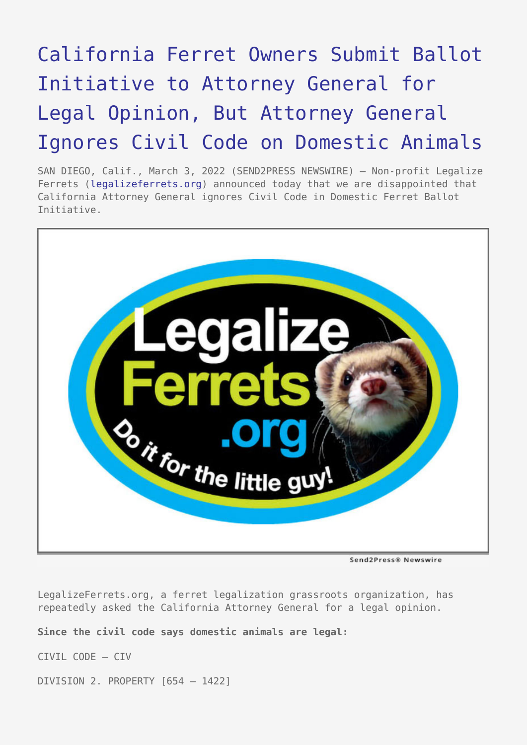## [California Ferret Owners Submit Ballot](https://www.send2press.com/wire/california-ferret-owners-submit-ballot-initiative-to-attorney-general-for-legal-opinion-but-attorney-general-ignores-civil-code-on-domestic-animals/) [Initiative to Attorney General for](https://www.send2press.com/wire/california-ferret-owners-submit-ballot-initiative-to-attorney-general-for-legal-opinion-but-attorney-general-ignores-civil-code-on-domestic-animals/) [Legal Opinion, But Attorney General](https://www.send2press.com/wire/california-ferret-owners-submit-ballot-initiative-to-attorney-general-for-legal-opinion-but-attorney-general-ignores-civil-code-on-domestic-animals/) [Ignores Civil Code on Domestic Animals](https://www.send2press.com/wire/california-ferret-owners-submit-ballot-initiative-to-attorney-general-for-legal-opinion-but-attorney-general-ignores-civil-code-on-domestic-animals/)

SAN DIEGO, Calif., March 3, 2022 (SEND2PRESS NEWSWIRE) — Non-profit Legalize Ferrets [\(legalizeferrets.org\)](https://www.legalizeferrets.org/) announced today that we are disappointed that California Attorney General ignores Civil Code in Domestic Ferret Ballot Initiative.



Send2Press® Newswire

LegalizeFerrets.org, a ferret legalization grassroots organization, has repeatedly asked the California Attorney General for a legal opinion.

**Since the civil code says domestic animals are legal:**

CIVIL CODE – CIV

DIVISION 2. PROPERTY [654 – 1422]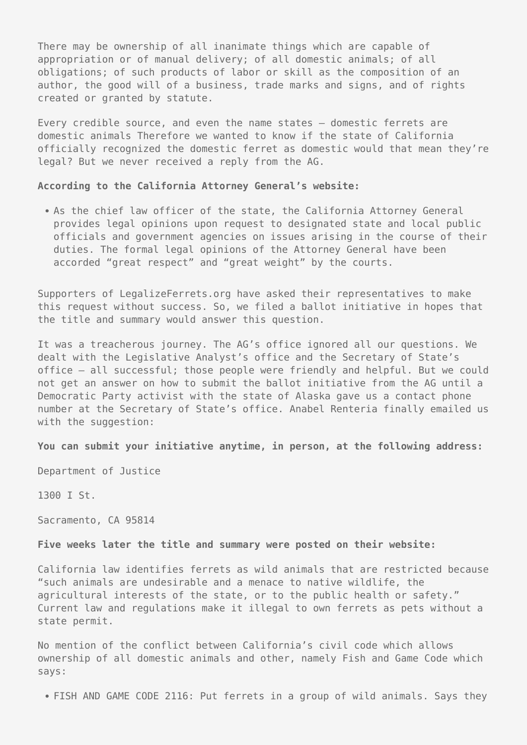There may be ownership of all inanimate things which are capable of appropriation or of manual delivery; of all domestic animals; of all obligations; of such products of labor or skill as the composition of an author, the good will of a business, trade marks and signs, and of rights created or granted by statute.

Every credible source, and even the name states – domestic ferrets are domestic animals Therefore we wanted to know if the state of California officially recognized the domestic ferret as domestic would that mean they're legal? But we never received a reply from the AG.

## **According to the California Attorney General's website:**

• As the chief law officer of the state, the California Attorney General provides legal opinions upon request to designated state and local public officials and government agencies on issues arising in the course of their duties. The formal legal opinions of the Attorney General have been accorded "great respect" and "great weight" by the courts.

Supporters of LegalizeFerrets.org have asked their representatives to make this request without success. So, we filed a ballot initiative in hopes that the title and summary would answer this question.

It was a treacherous journey. The AG's office ignored all our questions. We dealt with the Legislative Analyst's office and the Secretary of State's office – all successful; those people were friendly and helpful. But we could not get an answer on how to submit the ballot initiative from the AG until a Democratic Party activist with the state of Alaska gave us a contact phone number at the Secretary of State's office. Anabel Renteria finally emailed us with the suggestion:

**You can submit your initiative anytime, in person, at the following address:**

Department of Justice

1300 I St.

Sacramento, CA 95814

## **Five weeks later the title and summary were posted on their website:**

California law identifies ferrets as wild animals that are restricted because "such animals are undesirable and a menace to native wildlife, the agricultural interests of the state, or to the public health or safety." Current law and regulations make it illegal to own ferrets as pets without a state permit.

No mention of the conflict between California's civil code which allows ownership of all domestic animals and other, namely Fish and Game Code which says:

FISH AND GAME CODE 2116: Put ferrets in a group of wild animals. Says they